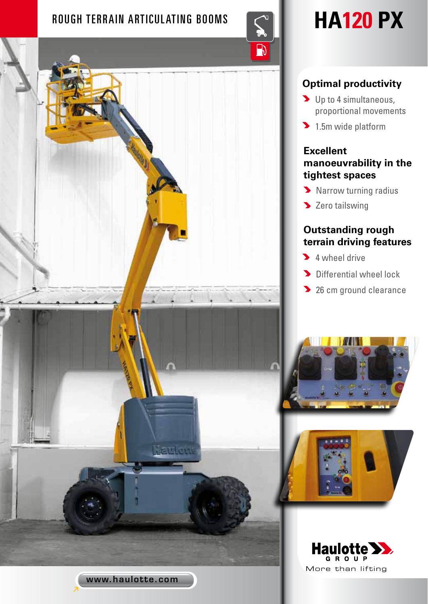# ROUGH TERRAIN ARTICULATING BOOMS **And Maticulating**



# **Optimal productivity**

- Depto 4 simultaneous, proportional movements
- 1.5m wide platform

# **Excellent manoeuvrability in the tightest spaces**

- **Narrow turning radius**
- > Zero tailswing

# **Outstanding rough terrain driving features**

- **4** wheel drive
- Differential wheel lock
- **26 cm ground clearance**







attlett